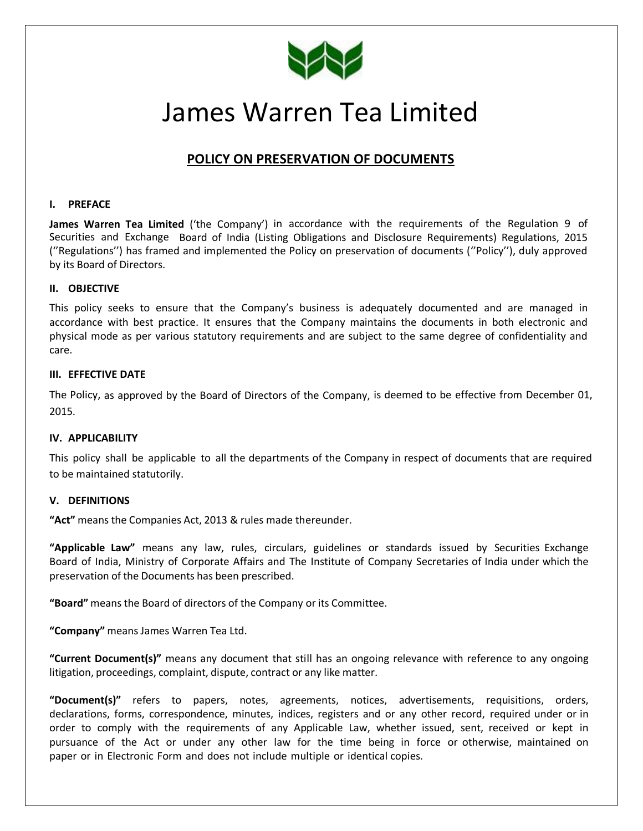

# James Warren Tea Limited

# **POLICY ON PRESERVATION OF DOCUMENTS**

#### **I. PREFACE**

**James Warren Tea Limited** ('the Company') in accordance with the requirements of the Regulation 9 of Securities and Exchange Board of India (Listing Obligations and Disclosure Requirements) Regulations, 2015 (''Regulations'') has framed and implemented the Policy on preservation of documents (''Policy''), duly approved by its Board of Directors.

#### **II. OBJECTIVE**

This policy seeks to ensure that the Company's business is adequately documented and are managed in accordance with best practice. It ensures that the Company maintains the documents in both electronic and physical mode as per various statutory requirements and are subject to the same degree of confidentiality and care.

#### **III. EFFECTIVE DATE**

The Policy, as approved by the Board of Directors of the Company, is deemed to be effective from December 01, 2015.

#### **IV. APPLICABILITY**

This policy shall be applicable to all the departments of the Company in respect of documents that are required to be maintained statutorily.

#### **V. DEFINITIONS**

**"Act"** means the Companies Act, 2013 & rules made thereunder.

**"Applicable Law"** means any law, rules, circulars, guidelines or standards issued by Securities Exchange Board of India, Ministry of Corporate Affairs and The Institute of Company Secretaries of India under which the preservation of the Documents has been prescribed.

**"Board"** means the Board of directors of the Company or its Committee.

**"Company"** meansJames Warren Tea Ltd.

**"Current Document(s)"** means any document that still has an ongoing relevance with reference to any ongoing litigation, proceedings, complaint, dispute, contract or any like matter.

**"Document(s)"** refers to papers, notes, agreements, notices, advertisements, requisitions, orders, declarations, forms, correspondence, minutes, indices, registers and or any other record, required under or in order to comply with the requirements of any Applicable Law, whether issued, sent, received or kept in pursuance of the Act or under any other law for the time being in force or otherwise, maintained on paper or in Electronic Form and does not include multiple or identical copies.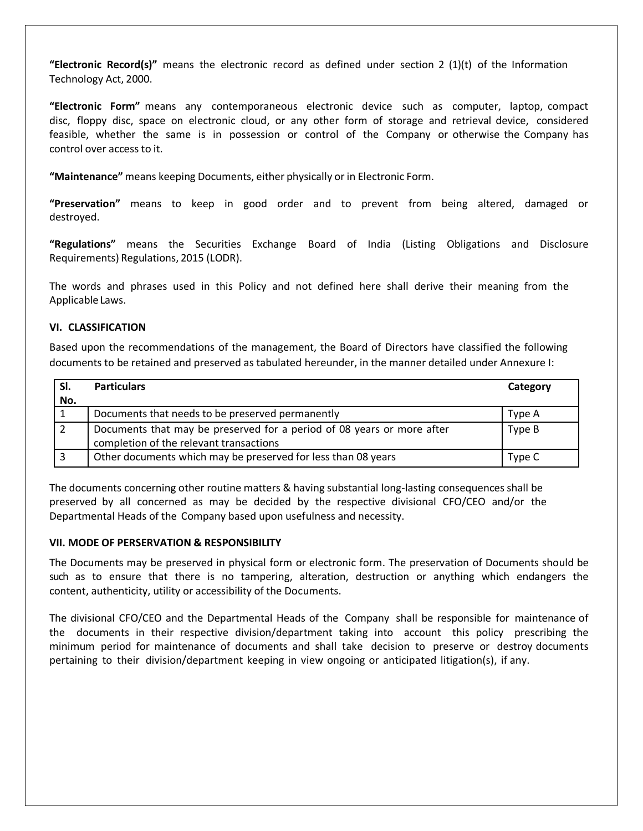**"Electronic Record(s)"** means the electronic record as defined under section 2 (1)(t) of the Information Technology Act, 2000.

**"Electronic Form"** means any contemporaneous electronic device such as computer, laptop, compact disc, floppy disc, space on electronic cloud, or any other form of storage and retrieval device, considered feasible, whether the same is in possession or control of the Company or otherwise the Company has control over access to it.

**"Maintenance"** means keeping Documents, either physically or in Electronic Form.

**"Preservation"** means to keep in good order and to prevent from being altered, damaged or destroyed.

**"Regulations"** means the Securities Exchange Board of India (Listing Obligations and Disclosure Requirements) Regulations, 2015 (LODR).

The words and phrases used in this Policy and not defined here shall derive their meaning from the Applicable Laws.

#### **VI. CLASSIFICATION**

Based upon the recommendations of the management, the Board of Directors have classified the following documents to be retained and preserved as tabulated hereunder, in the manner detailed under Annexure I:

|     | <b>Particulars</b>                                                     | Category |
|-----|------------------------------------------------------------------------|----------|
| No. |                                                                        |          |
|     | Documents that needs to be preserved permanently                       | Type A   |
|     | Documents that may be preserved for a period of 08 years or more after | Type B   |
|     | completion of the relevant transactions                                |          |
|     | Other documents which may be preserved for less than 08 years          | Type C   |

The documents concerning other routine matters & having substantial long-lasting consequences shall be preserved by all concerned as may be decided by the respective divisional CFO/CEO and/or the Departmental Heads of the Company based upon usefulness and necessity.

#### **VII. MODE OF PERSERVATION & RESPONSIBILITY**

The Documents may be preserved in physical form or electronic form. The preservation of Documents should be such as to ensure that there is no tampering, alteration, destruction or anything which endangers the content, authenticity, utility or accessibility of the Documents.

The divisional CFO/CEO and the Departmental Heads of the Company shall be responsible for maintenance of the documents in their respective division/department taking into account this policy prescribing the minimum period for maintenance of documents and shall take decision to preserve or destroy documents pertaining to their division/department keeping in view ongoing or anticipated litigation(s), if any.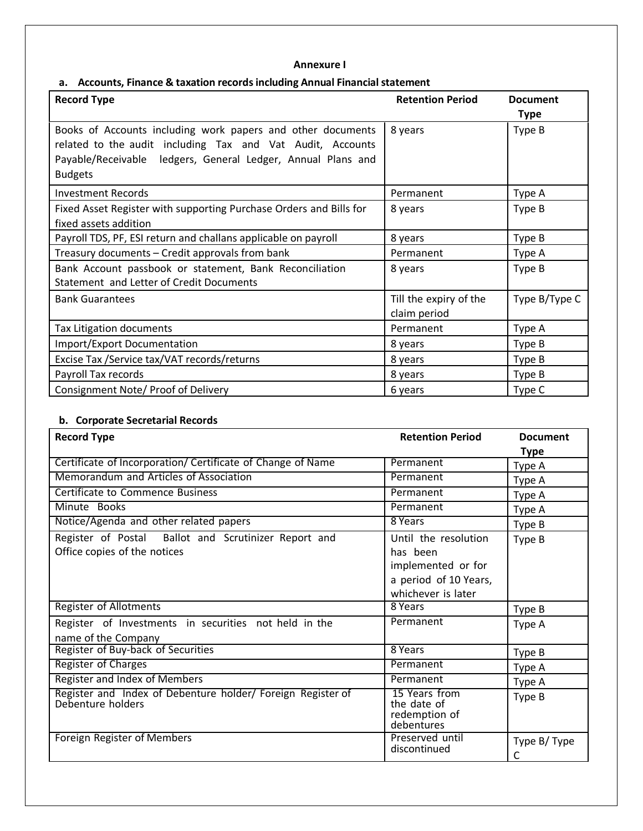#### **Annexure I**

## **a. Accounts, Finance & taxation recordsincluding Annual Financialstatement**

| <b>Record Type</b>                                                                                                                                                                                          | <b>Retention Period</b>                | <b>Document</b><br><b>Type</b> |
|-------------------------------------------------------------------------------------------------------------------------------------------------------------------------------------------------------------|----------------------------------------|--------------------------------|
| Books of Accounts including work papers and other documents<br>related to the audit including Tax and Vat Audit, Accounts<br>Payable/Receivable ledgers, General Ledger, Annual Plans and<br><b>Budgets</b> | 8 years                                | Type B                         |
| <b>Investment Records</b>                                                                                                                                                                                   | Permanent                              | Type A                         |
| Fixed Asset Register with supporting Purchase Orders and Bills for<br>fixed assets addition                                                                                                                 | 8 years                                | Type B                         |
| Payroll TDS, PF, ESI return and challans applicable on payroll                                                                                                                                              | 8 years                                | Type B                         |
| Treasury documents - Credit approvals from bank                                                                                                                                                             | Permanent                              | Type A                         |
| Bank Account passbook or statement, Bank Reconciliation<br>Statement and Letter of Credit Documents                                                                                                         | 8 years                                | Type B                         |
| <b>Bank Guarantees</b>                                                                                                                                                                                      | Till the expiry of the<br>claim period | Type B/Type C                  |
| Tax Litigation documents                                                                                                                                                                                    | Permanent                              | Type A                         |
| Import/Export Documentation                                                                                                                                                                                 | 8 years                                | Type B                         |
| Excise Tax / Service tax/VAT records/returns                                                                                                                                                                | 8 years                                | Type B                         |
| Payroll Tax records                                                                                                                                                                                         | 8 years                                | Type B                         |
| Consignment Note/ Proof of Delivery                                                                                                                                                                         | 6 years                                | Type C                         |

### **b. Corporate Secretarial Records**

| <b>Record Type</b>                                                                   | <b>Retention Period</b>                                                                               | <b>Document</b>  |
|--------------------------------------------------------------------------------------|-------------------------------------------------------------------------------------------------------|------------------|
|                                                                                      |                                                                                                       | <b>Type</b>      |
| Certificate of Incorporation/ Certificate of Change of Name                          | Permanent                                                                                             | Type A           |
| Memorandum and Articles of Association                                               | Permanent                                                                                             | Type A           |
| <b>Certificate to Commence Business</b>                                              | Permanent                                                                                             | Type A           |
| Minute Books                                                                         | Permanent                                                                                             | Type A           |
| Notice/Agenda and other related papers                                               | 8 Years                                                                                               | Type B           |
| Register of Postal Ballot and Scrutinizer Report and<br>Office copies of the notices | Until the resolution<br>has been<br>implemented or for<br>a period of 10 Years,<br>whichever is later | Type B           |
| <b>Register of Allotments</b>                                                        | 8 Years                                                                                               | Type B           |
| Register of Investments in securities not held in the<br>name of the Company         | Permanent                                                                                             | Type A           |
| Register of Buy-back of Securities                                                   | 8 Years                                                                                               | Type B           |
| <b>Register of Charges</b>                                                           | Permanent                                                                                             | Type A           |
| <b>Register and Index of Members</b>                                                 | Permanent                                                                                             | Type A           |
| Register and Index of Debenture holder/ Foreign Register of<br>Debenture holders     | 15 Years from<br>the date of<br>redemption of<br>debentures                                           | Type B           |
| Foreign Register of Members                                                          | Preserved until<br>discontinued                                                                       | Type B/Type<br>C |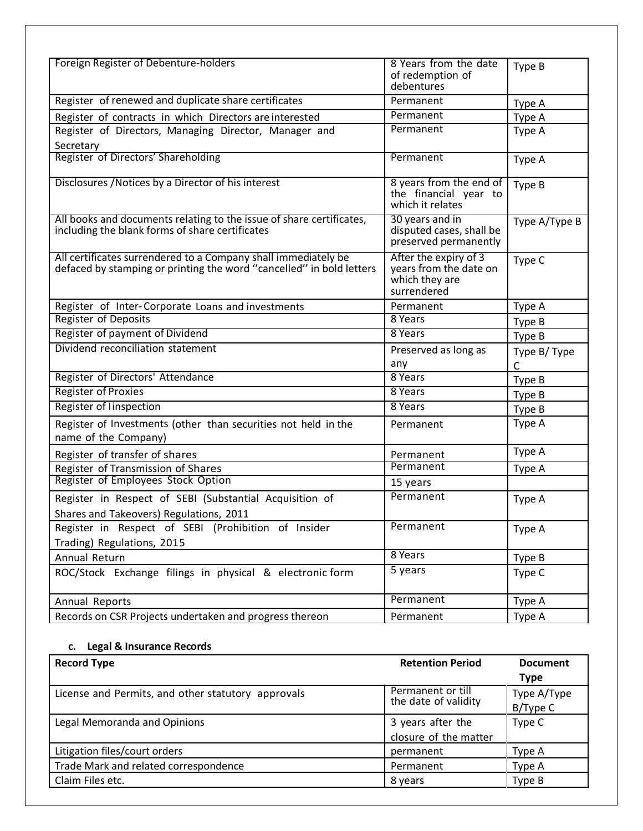| Foreign Register of Debenture-holders                                                                                                  | 8 Years from the date<br>of redemption of<br>debentures                          | Type B        |
|----------------------------------------------------------------------------------------------------------------------------------------|----------------------------------------------------------------------------------|---------------|
| Register of renewed and duplicate share certificates                                                                                   | Permanent                                                                        | Type A        |
| Register of contracts in which Directors are interested                                                                                | Permanent                                                                        | Type A        |
| Register of Directors, Managing Director, Manager and<br>Secretary                                                                     | Permanent                                                                        | Type A        |
| Register of Directors' Shareholding                                                                                                    | Permanent                                                                        | Type A        |
| Disclosures / Notices by a Director of his interest                                                                                    | 8 years from the end of<br>the financial year to<br>which it relates             | Type B        |
| All books and documents relating to the issue of share certificates,<br>including the blank forms of share certificates                | 30 years and in<br>disputed cases, shall be<br>preserved permanently             | Type A/Type B |
| All certificates surrendered to a Company shall immediately be<br>defaced by stamping or printing the word "cancelled" in bold letters | After the expiry of 3<br>years from the date on<br>which they are<br>surrendered | Type C        |
| Register of Inter-Corporate Loans and investments                                                                                      | Permanent                                                                        | Type A        |
| <b>Register of Deposits</b>                                                                                                            | 8 Years                                                                          | Type B        |
| Register of payment of Dividend                                                                                                        | 8 Years                                                                          | Type B        |
| Dividend reconciliation statement                                                                                                      | Preserved as long as                                                             | Type B/Type   |
|                                                                                                                                        | any                                                                              | C             |
| Register of Directors' Attendance                                                                                                      | 8 Years                                                                          | Type B        |
| <b>Register of Proxies</b>                                                                                                             | 8 Years                                                                          | Type B        |
| Register of linspection                                                                                                                | 8 Years                                                                          | Type B        |
| Register of Investments (other than securities not held in the<br>name of the Company)                                                 | Permanent                                                                        | Type A        |
| Register of transfer of shares                                                                                                         | Permanent                                                                        | Type A        |
| Register of Transmission of Shares                                                                                                     | Permanent                                                                        | Type A        |
| Register of Employees Stock Option                                                                                                     | 15 years                                                                         |               |
| Register in Respect of SEBI (Substantial Acquisition of<br>Shares and Takeovers) Regulations, 2011                                     | Permanent                                                                        | Type A        |
| Register in Respect of SEBI (Prohibition of Insider<br>Trading) Regulations, 2015                                                      | Permanent                                                                        | Type A        |
| Annual Return                                                                                                                          | 8 Years                                                                          | Type B        |
| ROC/Stock Exchange filings in physical & electronic form                                                                               | 5 years                                                                          | Type C        |
| Annual Reports                                                                                                                         | Permanent                                                                        | Type A        |
| Records on CSR Projects undertaken and progress thereon                                                                                | Permanent                                                                        | Type A        |

#### **c. Legal & Insurance Records**

| <b>Record Type</b>                                 | <b>Retention Period</b>                   | <b>Document</b>         |
|----------------------------------------------------|-------------------------------------------|-------------------------|
|                                                    |                                           | Type                    |
| License and Permits, and other statutory approvals | Permanent or till<br>the date of validity | Type A/Type<br>B/Type C |
| Legal Memoranda and Opinions                       | 3 years after the                         | Type C                  |
|                                                    | closure of the matter                     |                         |
| Litigation files/court orders                      | permanent                                 | Type A                  |
| Trade Mark and related correspondence              | Permanent                                 | Type A                  |
| Claim Files etc.                                   | 8 years                                   | Type B                  |